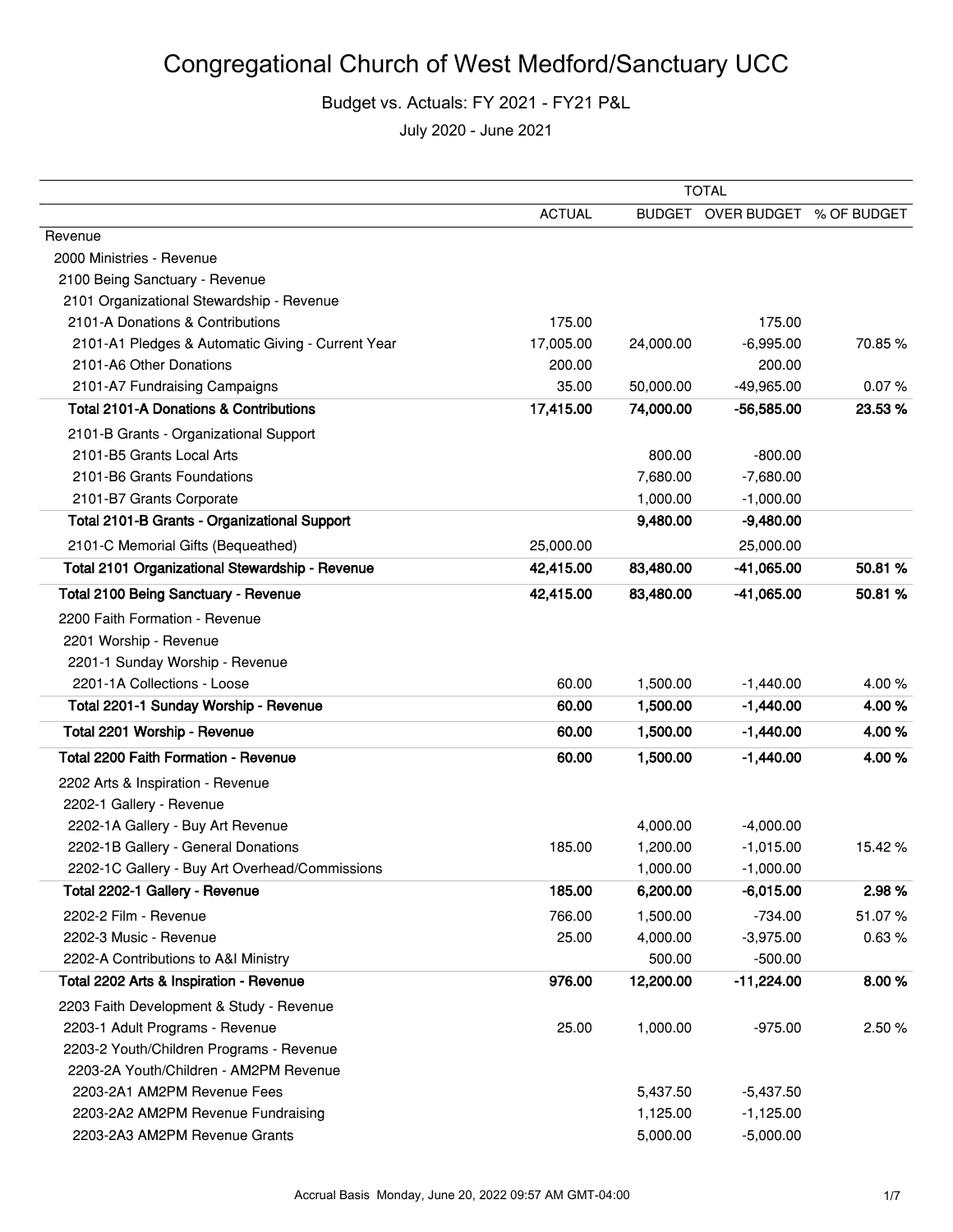|                                                   | <b>TOTAL</b>  |           |                                |         |
|---------------------------------------------------|---------------|-----------|--------------------------------|---------|
|                                                   | <b>ACTUAL</b> |           | BUDGET OVER BUDGET % OF BUDGET |         |
| Revenue                                           |               |           |                                |         |
| 2000 Ministries - Revenue                         |               |           |                                |         |
| 2100 Being Sanctuary - Revenue                    |               |           |                                |         |
| 2101 Organizational Stewardship - Revenue         |               |           |                                |         |
| 2101-A Donations & Contributions                  | 175.00        |           | 175.00                         |         |
| 2101-A1 Pledges & Automatic Giving - Current Year | 17,005.00     | 24,000.00 | $-6,995.00$                    | 70.85%  |
| 2101-A6 Other Donations                           | 200.00        |           | 200.00                         |         |
| 2101-A7 Fundraising Campaigns                     | 35.00         | 50,000.00 | $-49,965.00$                   | 0.07%   |
| <b>Total 2101-A Donations &amp; Contributions</b> | 17,415.00     | 74,000.00 | $-56,585.00$                   | 23.53 % |
| 2101-B Grants - Organizational Support            |               |           |                                |         |
| 2101-B5 Grants Local Arts                         |               | 800.00    | $-800.00$                      |         |
| 2101-B6 Grants Foundations                        |               | 7,680.00  | $-7,680.00$                    |         |
| 2101-B7 Grants Corporate                          |               | 1,000.00  | $-1,000.00$                    |         |
| Total 2101-B Grants - Organizational Support      |               | 9,480.00  | $-9,480.00$                    |         |
| 2101-C Memorial Gifts (Bequeathed)                | 25,000.00     |           | 25,000.00                      |         |
| Total 2101 Organizational Stewardship - Revenue   | 42,415.00     | 83,480.00 | -41,065.00                     | 50.81%  |
| <b>Total 2100 Being Sanctuary - Revenue</b>       | 42,415.00     | 83,480.00 | $-41,065.00$                   | 50.81 % |
| 2200 Faith Formation - Revenue                    |               |           |                                |         |
| 2201 Worship - Revenue                            |               |           |                                |         |
| 2201-1 Sunday Worship - Revenue                   |               |           |                                |         |
| 2201-1A Collections - Loose                       | 60.00         | 1,500.00  | $-1,440.00$                    | 4.00%   |
| Total 2201-1 Sunday Worship - Revenue             | 60.00         | 1,500.00  | $-1,440.00$                    | 4.00%   |
| Total 2201 Worship - Revenue                      | 60.00         | 1,500.00  | $-1,440.00$                    | 4.00%   |
| Total 2200 Faith Formation - Revenue              | 60.00         | 1,500.00  | $-1,440.00$                    | 4.00%   |
| 2202 Arts & Inspiration - Revenue                 |               |           |                                |         |
| 2202-1 Gallery - Revenue                          |               |           |                                |         |
| 2202-1A Gallery - Buy Art Revenue                 |               | 4,000.00  | $-4,000.00$                    |         |
| 2202-1B Gallery - General Donations               | 185.00        | 1,200.00  | $-1,015.00$                    | 15.42 % |
| 2202-1C Gallery - Buy Art Overhead/Commissions    |               | 1,000.00  | $-1,000.00$                    |         |
| Total 2202-1 Gallery - Revenue                    | 185.00        | 6,200.00  | $-6,015.00$                    | 2.98%   |
| 2202-2 Film - Revenue                             | 766.00        | 1,500.00  | $-734.00$                      | 51.07%  |
| 2202-3 Music - Revenue                            | 25.00         | 4,000.00  | $-3,975.00$                    | 0.63%   |
| 2202-A Contributions to A&I Ministry              |               | 500.00    | $-500.00$                      |         |
| Total 2202 Arts & Inspiration - Revenue           | 976.00        | 12,200.00 | $-11,224.00$                   | 8.00%   |
| 2203 Faith Development & Study - Revenue          |               |           |                                |         |
| 2203-1 Adult Programs - Revenue                   | 25.00         | 1,000.00  | $-975.00$                      | 2.50 %  |
| 2203-2 Youth/Children Programs - Revenue          |               |           |                                |         |
| 2203-2A Youth/Children - AM2PM Revenue            |               |           |                                |         |
| 2203-2A1 AM2PM Revenue Fees                       |               | 5,437.50  | $-5,437.50$                    |         |
| 2203-2A2 AM2PM Revenue Fundraising                |               | 1,125.00  | $-1,125.00$                    |         |
| 2203-2A3 AM2PM Revenue Grants                     |               | 5,000.00  | $-5,000.00$                    |         |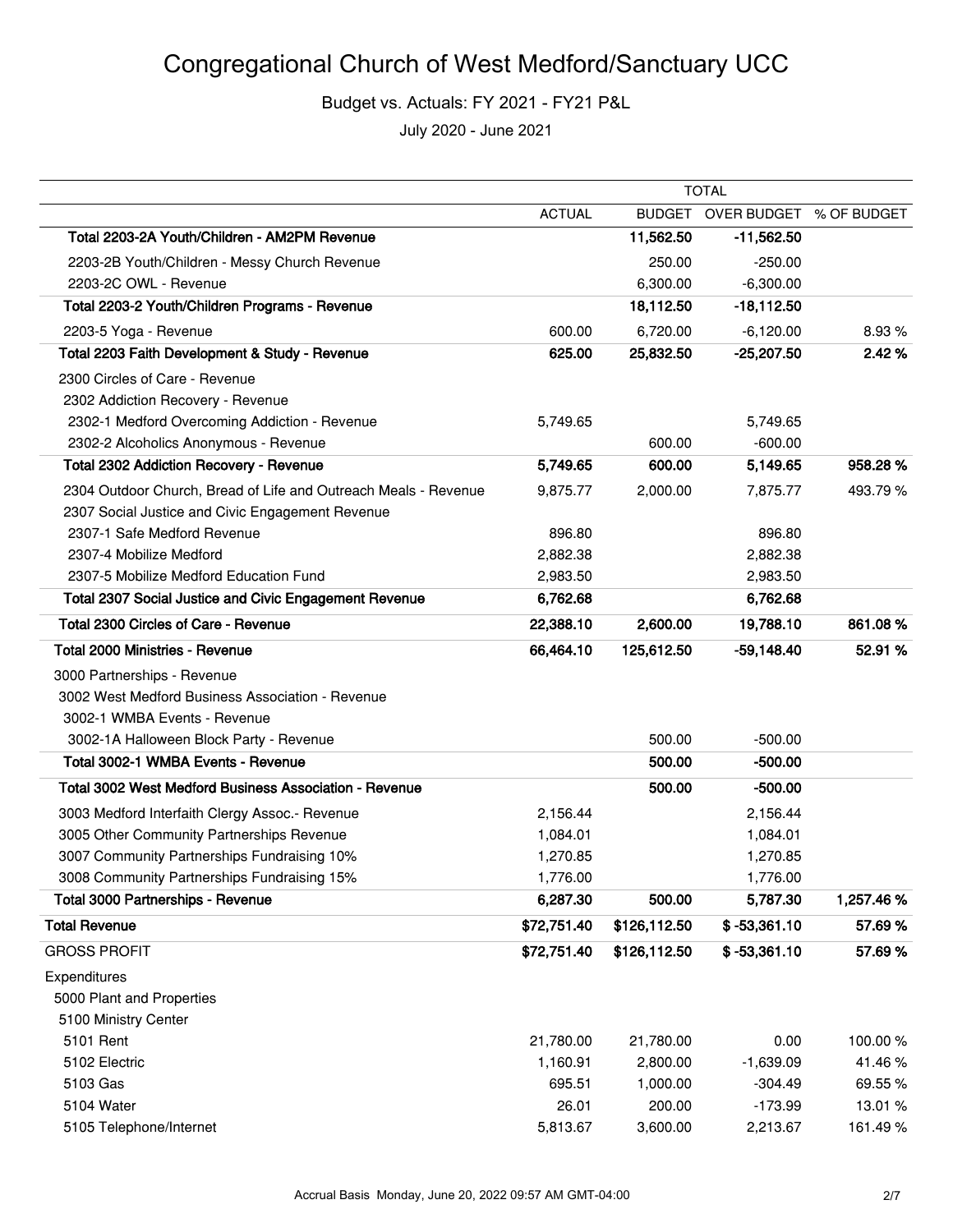## Congregational Church of West Medford/Sanctuary UCC

Budget vs. Actuals: FY 2021 - FY21 P&L

|                                                                 | <b>TOTAL</b>  |              |                                |           |
|-----------------------------------------------------------------|---------------|--------------|--------------------------------|-----------|
|                                                                 | <b>ACTUAL</b> |              | BUDGET OVER BUDGET % OF BUDGET |           |
| Total 2203-2A Youth/Children - AM2PM Revenue                    |               | 11,562.50    | $-11,562.50$                   |           |
| 2203-2B Youth/Children - Messy Church Revenue                   |               | 250.00       | $-250.00$                      |           |
| 2203-2C OWL - Revenue                                           |               | 6,300.00     | $-6,300.00$                    |           |
| Total 2203-2 Youth/Children Programs - Revenue                  |               | 18,112.50    | $-18,112.50$                   |           |
| 2203-5 Yoga - Revenue                                           | 600.00        | 6,720.00     | $-6,120.00$                    | 8.93%     |
| Total 2203 Faith Development & Study - Revenue                  | 625.00        | 25,832.50    | $-25,207.50$                   | 2.42%     |
| 2300 Circles of Care - Revenue                                  |               |              |                                |           |
| 2302 Addiction Recovery - Revenue                               |               |              |                                |           |
| 2302-1 Medford Overcoming Addiction - Revenue                   | 5,749.65      |              | 5,749.65                       |           |
| 2302-2 Alcoholics Anonymous - Revenue                           |               | 600.00       | $-600.00$                      |           |
| <b>Total 2302 Addiction Recovery - Revenue</b>                  | 5,749.65      | 600.00       | 5,149.65                       | 958.28%   |
| 2304 Outdoor Church, Bread of Life and Outreach Meals - Revenue | 9,875.77      | 2,000.00     | 7,875.77                       | 493.79%   |
| 2307 Social Justice and Civic Engagement Revenue                |               |              |                                |           |
| 2307-1 Safe Medford Revenue                                     | 896.80        |              | 896.80                         |           |
| 2307-4 Mobilize Medford                                         | 2,882.38      |              | 2,882.38                       |           |
| 2307-5 Mobilize Medford Education Fund                          | 2,983.50      |              | 2,983.50                       |           |
| Total 2307 Social Justice and Civic Engagement Revenue          | 6,762.68      |              | 6,762.68                       |           |
| Total 2300 Circles of Care - Revenue                            | 22,388.10     | 2,600.00     | 19,788.10                      | 861.08%   |
| Total 2000 Ministries - Revenue                                 | 66,464.10     | 125,612.50   | $-59,148.40$                   | 52.91 %   |
| 3000 Partnerships - Revenue                                     |               |              |                                |           |
| 3002 West Medford Business Association - Revenue                |               |              |                                |           |
| 3002-1 WMBA Events - Revenue                                    |               |              |                                |           |
| 3002-1A Halloween Block Party - Revenue                         |               | 500.00       | $-500.00$                      |           |
| Total 3002-1 WMBA Events - Revenue                              |               | 500.00       | $-500.00$                      |           |
| Total 3002 West Medford Business Association - Revenue          |               | 500.00       | $-500.00$                      |           |
| 3003 Medford Interfaith Clergy Assoc.- Revenue                  | 2,156.44      |              | 2,156.44                       |           |
| 3005 Other Community Partnerships Revenue                       | 1,084.01      |              | 1,084.01                       |           |
| 3007 Community Partnerships Fundraising 10%                     | 1,270.85      |              | 1,270.85                       |           |
| 3008 Community Partnerships Fundraising 15%                     | 1,776.00      |              | 1,776.00                       |           |
| <b>Total 3000 Partnerships - Revenue</b>                        | 6,287.30      | 500.00       | 5,787.30                       | 1,257.46% |
| <b>Total Revenue</b>                                            | \$72,751.40   | \$126,112.50 | $$ -53,361.10$                 | 57.69%    |
| <b>GROSS PROFIT</b>                                             | \$72,751.40   | \$126,112.50 | $$ -53,361.10$                 | 57.69%    |
| Expenditures                                                    |               |              |                                |           |
| 5000 Plant and Properties                                       |               |              |                                |           |
| 5100 Ministry Center                                            |               |              |                                |           |
| 5101 Rent                                                       | 21,780.00     | 21,780.00    | 0.00                           | 100.00%   |
| 5102 Electric                                                   | 1,160.91      | 2,800.00     | $-1,639.09$                    | 41.46%    |
| 5103 Gas                                                        | 695.51        | 1,000.00     | $-304.49$                      | 69.55%    |
| 5104 Water                                                      | 26.01         | 200.00       | $-173.99$                      | 13.01 %   |
| 5105 Telephone/Internet                                         | 5,813.67      | 3,600.00     | 2,213.67                       | 161.49%   |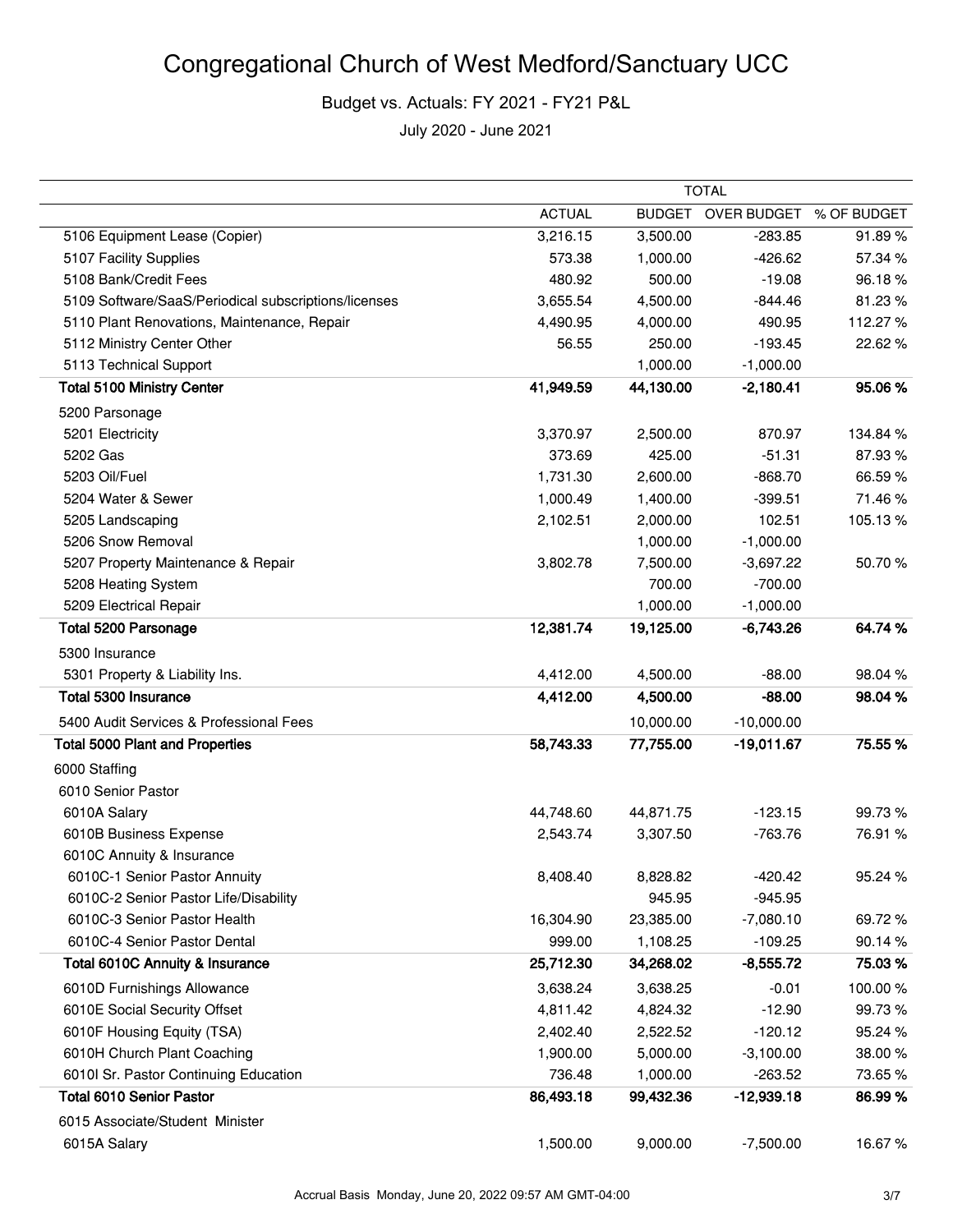|                                                      | TOTAL         |               |              |             |  |
|------------------------------------------------------|---------------|---------------|--------------|-------------|--|
|                                                      | <b>ACTUAL</b> | <b>BUDGET</b> | OVER BUDGET  | % OF BUDGET |  |
| 5106 Equipment Lease (Copier)                        | 3,216.15      | 3,500.00      | $-283.85$    | 91.89%      |  |
| 5107 Facility Supplies                               | 573.38        | 1,000.00      | $-426.62$    | 57.34 %     |  |
| 5108 Bank/Credit Fees                                | 480.92        | 500.00        | $-19.08$     | 96.18%      |  |
| 5109 Software/SaaS/Periodical subscriptions/licenses | 3,655.54      | 4,500.00      | $-844.46$    | 81.23%      |  |
| 5110 Plant Renovations, Maintenance, Repair          | 4,490.95      | 4,000.00      | 490.95       | 112.27%     |  |
| 5112 Ministry Center Other                           | 56.55         | 250.00        | $-193.45$    | 22.62 %     |  |
| 5113 Technical Support                               |               | 1,000.00      | $-1,000.00$  |             |  |
| <b>Total 5100 Ministry Center</b>                    | 41,949.59     | 44,130.00     | $-2,180.41$  | 95.06%      |  |
| 5200 Parsonage                                       |               |               |              |             |  |
| 5201 Electricity                                     | 3,370.97      | 2,500.00      | 870.97       | 134.84 %    |  |
| 5202 Gas                                             | 373.69        | 425.00        | $-51.31$     | 87.93%      |  |
| 5203 Oil/Fuel                                        | 1,731.30      | 2,600.00      | $-868.70$    | 66.59%      |  |
| 5204 Water & Sewer                                   | 1,000.49      | 1,400.00      | $-399.51$    | 71.46%      |  |
| 5205 Landscaping                                     | 2,102.51      | 2,000.00      | 102.51       | 105.13%     |  |
| 5206 Snow Removal                                    |               | 1,000.00      | $-1,000.00$  |             |  |
| 5207 Property Maintenance & Repair                   | 3,802.78      | 7,500.00      | $-3,697.22$  | 50.70%      |  |
| 5208 Heating System                                  |               | 700.00        | $-700.00$    |             |  |
| 5209 Electrical Repair                               |               | 1,000.00      | $-1,000.00$  |             |  |
| <b>Total 5200 Parsonage</b>                          | 12,381.74     | 19,125.00     | $-6,743.26$  | 64.74 %     |  |
| 5300 Insurance                                       |               |               |              |             |  |
| 5301 Property & Liability Ins.                       | 4,412.00      | 4,500.00      | $-88.00$     | 98.04%      |  |
| Total 5300 Insurance                                 | 4,412.00      | 4,500.00      | $-88.00$     | 98.04%      |  |
| 5400 Audit Services & Professional Fees              |               | 10,000.00     | $-10,000.00$ |             |  |
| <b>Total 5000 Plant and Properties</b>               | 58,743.33     | 77,755.00     | $-19,011.67$ | 75.55 %     |  |
| 6000 Staffing                                        |               |               |              |             |  |
| 6010 Senior Pastor                                   |               |               |              |             |  |
| 6010A Salary                                         | 44,748.60     | 44,871.75     | $-123.15$    | 99.73%      |  |
| 6010B Business Expense                               | 2,543.74      | 3,307.50      | $-763.76$    | 76.91 %     |  |
| 6010C Annuity & Insurance                            |               |               |              |             |  |
| 6010C-1 Senior Pastor Annuity                        | 8,408.40      | 8,828.82      | $-420.42$    | 95.24 %     |  |
| 6010C-2 Senior Pastor Life/Disability                |               | 945.95        | $-945.95$    |             |  |
| 6010C-3 Senior Pastor Health                         | 16,304.90     | 23,385.00     | $-7,080.10$  | 69.72%      |  |
| 6010C-4 Senior Pastor Dental                         | 999.00        | 1,108.25      | $-109.25$    | 90.14%      |  |
| Total 6010C Annuity & Insurance                      | 25,712.30     | 34,268.02     | $-8,555.72$  | 75.03%      |  |
| 6010D Furnishings Allowance                          | 3,638.24      | 3,638.25      | $-0.01$      | 100.00%     |  |
| 6010E Social Security Offset                         | 4,811.42      | 4,824.32      | $-12.90$     | 99.73%      |  |
| 6010F Housing Equity (TSA)                           | 2,402.40      | 2,522.52      | $-120.12$    | 95.24 %     |  |
| 6010H Church Plant Coaching                          | 1,900.00      | 5,000.00      | $-3,100.00$  | 38.00%      |  |
| 6010I Sr. Pastor Continuing Education                | 736.48        | 1,000.00      | $-263.52$    | 73.65%      |  |
| <b>Total 6010 Senior Pastor</b>                      | 86,493.18     | 99,432.36     | $-12,939.18$ | 86.99%      |  |
| 6015 Associate/Student Minister                      |               |               |              |             |  |
| 6015A Salary                                         | 1,500.00      | 9,000.00      | $-7,500.00$  | 16.67%      |  |
|                                                      |               |               |              |             |  |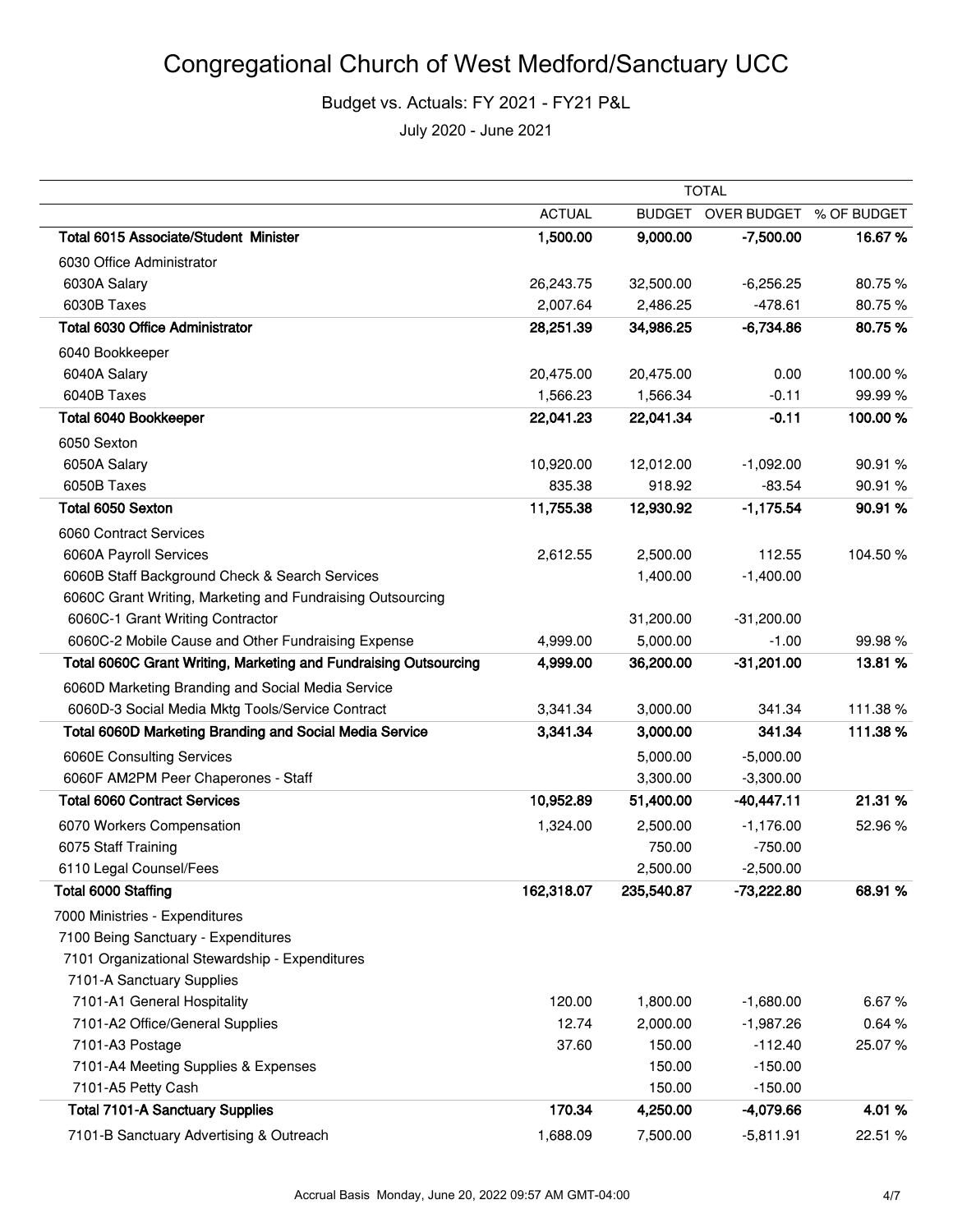|                                                                  | <b>TOTAL</b>  |            |                                |         |
|------------------------------------------------------------------|---------------|------------|--------------------------------|---------|
|                                                                  | <b>ACTUAL</b> |            | BUDGET OVER BUDGET % OF BUDGET |         |
| Total 6015 Associate/Student Minister                            | 1,500.00      | 9,000.00   | $-7,500.00$                    | 16.67%  |
| 6030 Office Administrator                                        |               |            |                                |         |
| 6030A Salary                                                     | 26,243.75     | 32,500.00  | $-6,256.25$                    | 80.75%  |
| 6030B Taxes                                                      | 2,007.64      | 2,486.25   | $-478.61$                      | 80.75%  |
| <b>Total 6030 Office Administrator</b>                           | 28,251.39     | 34,986.25  | $-6,734.86$                    | 80.75%  |
| 6040 Bookkeeper                                                  |               |            |                                |         |
| 6040A Salary                                                     | 20,475.00     | 20,475.00  | 0.00                           | 100.00% |
| 6040B Taxes                                                      | 1,566.23      | 1,566.34   | $-0.11$                        | 99.99%  |
| Total 6040 Bookkeeper                                            | 22,041.23     | 22,041.34  | $-0.11$                        | 100.00% |
| 6050 Sexton                                                      |               |            |                                |         |
| 6050A Salary                                                     | 10,920.00     | 12,012.00  | $-1,092.00$                    | 90.91%  |
| 6050B Taxes                                                      | 835.38        | 918.92     | $-83.54$                       | 90.91%  |
| Total 6050 Sexton                                                | 11,755.38     | 12,930.92  | $-1,175.54$                    | 90.91 % |
| 6060 Contract Services                                           |               |            |                                |         |
| 6060A Payroll Services                                           | 2,612.55      | 2,500.00   | 112.55                         | 104.50% |
| 6060B Staff Background Check & Search Services                   |               | 1,400.00   | $-1,400.00$                    |         |
| 6060C Grant Writing, Marketing and Fundraising Outsourcing       |               |            |                                |         |
| 6060C-1 Grant Writing Contractor                                 |               | 31,200.00  | $-31,200.00$                   |         |
| 6060C-2 Mobile Cause and Other Fundraising Expense               | 4,999.00      | 5,000.00   | $-1.00$                        | 99.98%  |
| Total 6060C Grant Writing, Marketing and Fundraising Outsourcing | 4,999.00      | 36,200.00  | $-31,201.00$                   | 13.81 % |
| 6060D Marketing Branding and Social Media Service                |               |            |                                |         |
| 6060D-3 Social Media Mktg Tools/Service Contract                 | 3,341.34      | 3,000.00   | 341.34                         | 111.38% |
| Total 6060D Marketing Branding and Social Media Service          | 3,341.34      | 3,000.00   | 341.34                         | 111.38% |
| 6060E Consulting Services                                        |               | 5,000.00   | $-5,000.00$                    |         |
| 6060F AM2PM Peer Chaperones - Staff                              |               | 3,300.00   | $-3,300.00$                    |         |
| <b>Total 6060 Contract Services</b>                              | 10,952.89     | 51,400.00  | $-40,447.11$                   | 21.31%  |
| 6070 Workers Compensation                                        | 1,324.00      | 2,500.00   | $-1,176.00$                    | 52.96%  |
| 6075 Staff Training                                              |               | 750.00     | $-750.00$                      |         |
| 6110 Legal Counsel/Fees                                          |               | 2,500.00   | $-2,500.00$                    |         |
| Total 6000 Staffing                                              | 162,318.07    | 235,540.87 | $-73,222.80$                   | 68.91%  |
| 7000 Ministries - Expenditures                                   |               |            |                                |         |
| 7100 Being Sanctuary - Expenditures                              |               |            |                                |         |
| 7101 Organizational Stewardship - Expenditures                   |               |            |                                |         |
| 7101-A Sanctuary Supplies                                        |               |            |                                |         |
| 7101-A1 General Hospitality                                      | 120.00        | 1,800.00   | $-1,680.00$                    | 6.67%   |
| 7101-A2 Office/General Supplies                                  | 12.74         | 2,000.00   | $-1,987.26$                    | 0.64%   |
| 7101-A3 Postage                                                  | 37.60         | 150.00     | $-112.40$                      | 25.07%  |
| 7101-A4 Meeting Supplies & Expenses                              |               | 150.00     | $-150.00$                      |         |
| 7101-A5 Petty Cash                                               |               | 150.00     | $-150.00$                      |         |
| <b>Total 7101-A Sanctuary Supplies</b>                           | 170.34        | 4,250.00   | -4,079.66                      | 4.01%   |
| 7101-B Sanctuary Advertising & Outreach                          | 1,688.09      | 7,500.00   | $-5,811.91$                    | 22.51 % |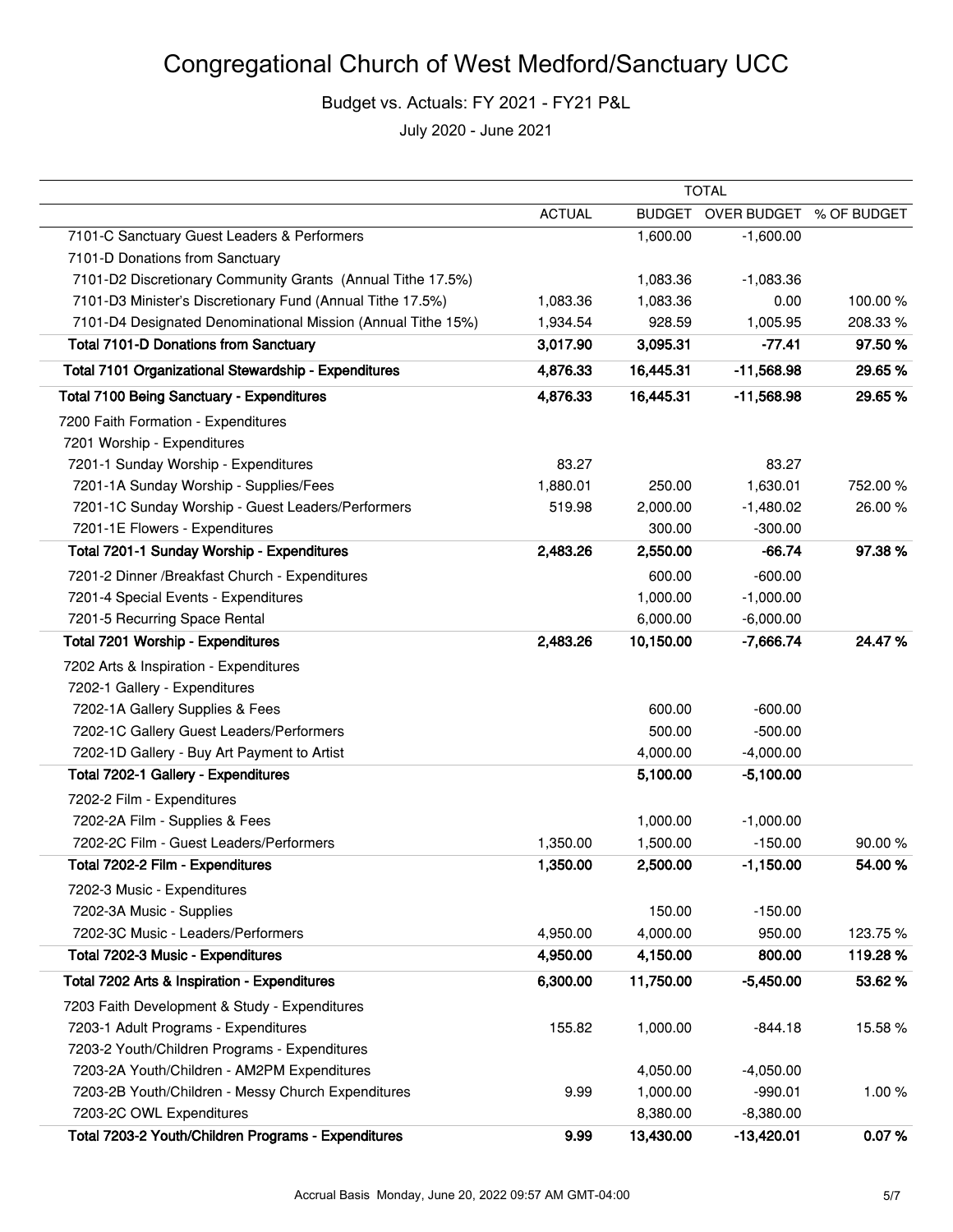|                                                              | <b>TOTAL</b>  |               |                         |          |
|--------------------------------------------------------------|---------------|---------------|-------------------------|----------|
|                                                              | <b>ACTUAL</b> | <b>BUDGET</b> | OVER BUDGET % OF BUDGET |          |
| 7101-C Sanctuary Guest Leaders & Performers                  |               | 1,600.00      | $-1,600.00$             |          |
| 7101-D Donations from Sanctuary                              |               |               |                         |          |
| 7101-D2 Discretionary Community Grants (Annual Tithe 17.5%)  |               | 1,083.36      | $-1,083.36$             |          |
| 7101-D3 Minister's Discretionary Fund (Annual Tithe 17.5%)   | 1,083.36      | 1,083.36      | 0.00                    | 100.00%  |
| 7101-D4 Designated Denominational Mission (Annual Tithe 15%) | 1,934.54      | 928.59        | 1,005.95                | 208.33%  |
| <b>Total 7101-D Donations from Sanctuary</b>                 | 3,017.90      | 3,095.31      | $-77.41$                | 97.50 %  |
| Total 7101 Organizational Stewardship - Expenditures         | 4,876.33      | 16,445.31     | $-11,568.98$            | 29.65%   |
| <b>Total 7100 Being Sanctuary - Expenditures</b>             | 4,876.33      | 16,445.31     | $-11,568.98$            | 29.65%   |
| 7200 Faith Formation - Expenditures                          |               |               |                         |          |
| 7201 Worship - Expenditures                                  |               |               |                         |          |
| 7201-1 Sunday Worship - Expenditures                         | 83.27         |               | 83.27                   |          |
| 7201-1A Sunday Worship - Supplies/Fees                       | 1,880.01      | 250.00        | 1,630.01                | 752.00 % |
| 7201-1C Sunday Worship - Guest Leaders/Performers            | 519.98        | 2,000.00      | $-1,480.02$             | 26.00%   |
| 7201-1E Flowers - Expenditures                               |               | 300.00        | $-300.00$               |          |
| Total 7201-1 Sunday Worship - Expenditures                   | 2,483.26      | 2,550.00      | $-66.74$                | 97.38%   |
| 7201-2 Dinner /Breakfast Church - Expenditures               |               | 600.00        | $-600.00$               |          |
| 7201-4 Special Events - Expenditures                         |               | 1,000.00      | $-1,000.00$             |          |
| 7201-5 Recurring Space Rental                                |               | 6,000.00      | $-6,000.00$             |          |
| Total 7201 Worship - Expenditures                            | 2,483.26      | 10,150.00     | $-7,666.74$             | 24.47%   |
| 7202 Arts & Inspiration - Expenditures                       |               |               |                         |          |
| 7202-1 Gallery - Expenditures                                |               |               |                         |          |
| 7202-1A Gallery Supplies & Fees                              |               | 600.00        | $-600.00$               |          |
| 7202-1C Gallery Guest Leaders/Performers                     |               | 500.00        | $-500.00$               |          |
| 7202-1D Gallery - Buy Art Payment to Artist                  |               | 4,000.00      | $-4,000.00$             |          |
| Total 7202-1 Gallery - Expenditures                          |               | 5,100.00      | $-5,100.00$             |          |
| 7202-2 Film - Expenditures                                   |               |               |                         |          |
| 7202-2A Film - Supplies & Fees                               |               | 1,000.00      | $-1,000.00$             |          |
| 7202-2C Film - Guest Leaders/Performers                      | 1,350.00      | 1,500.00      | $-150.00$               | 90.00%   |
| Total 7202-2 Film - Expenditures                             | 1,350.00      | 2,500.00      | $-1,150.00$             | 54.00 %  |
| 7202-3 Music - Expenditures                                  |               |               |                         |          |
| 7202-3A Music - Supplies                                     |               | 150.00        | $-150.00$               |          |
| 7202-3C Music - Leaders/Performers                           | 4,950.00      | 4,000.00      | 950.00                  | 123.75%  |
| Total 7202-3 Music - Expenditures                            | 4,950.00      | 4,150.00      | 800.00                  | 119.28%  |
| Total 7202 Arts & Inspiration - Expenditures                 | 6,300.00      | 11,750.00     | $-5,450.00$             | 53.62%   |
| 7203 Faith Development & Study - Expenditures                |               |               |                         |          |
| 7203-1 Adult Programs - Expenditures                         | 155.82        | 1,000.00      | $-844.18$               | 15.58%   |
| 7203-2 Youth/Children Programs - Expenditures                |               |               |                         |          |
| 7203-2A Youth/Children - AM2PM Expenditures                  |               | 4,050.00      | $-4,050.00$             |          |
| 7203-2B Youth/Children - Messy Church Expenditures           | 9.99          | 1,000.00      | $-990.01$               | 1.00%    |
| 7203-2C OWL Expenditures                                     |               | 8,380.00      | $-8,380.00$             |          |
| Total 7203-2 Youth/Children Programs - Expenditures          | 9.99          | 13,430.00     | $-13,420.01$            | 0.07%    |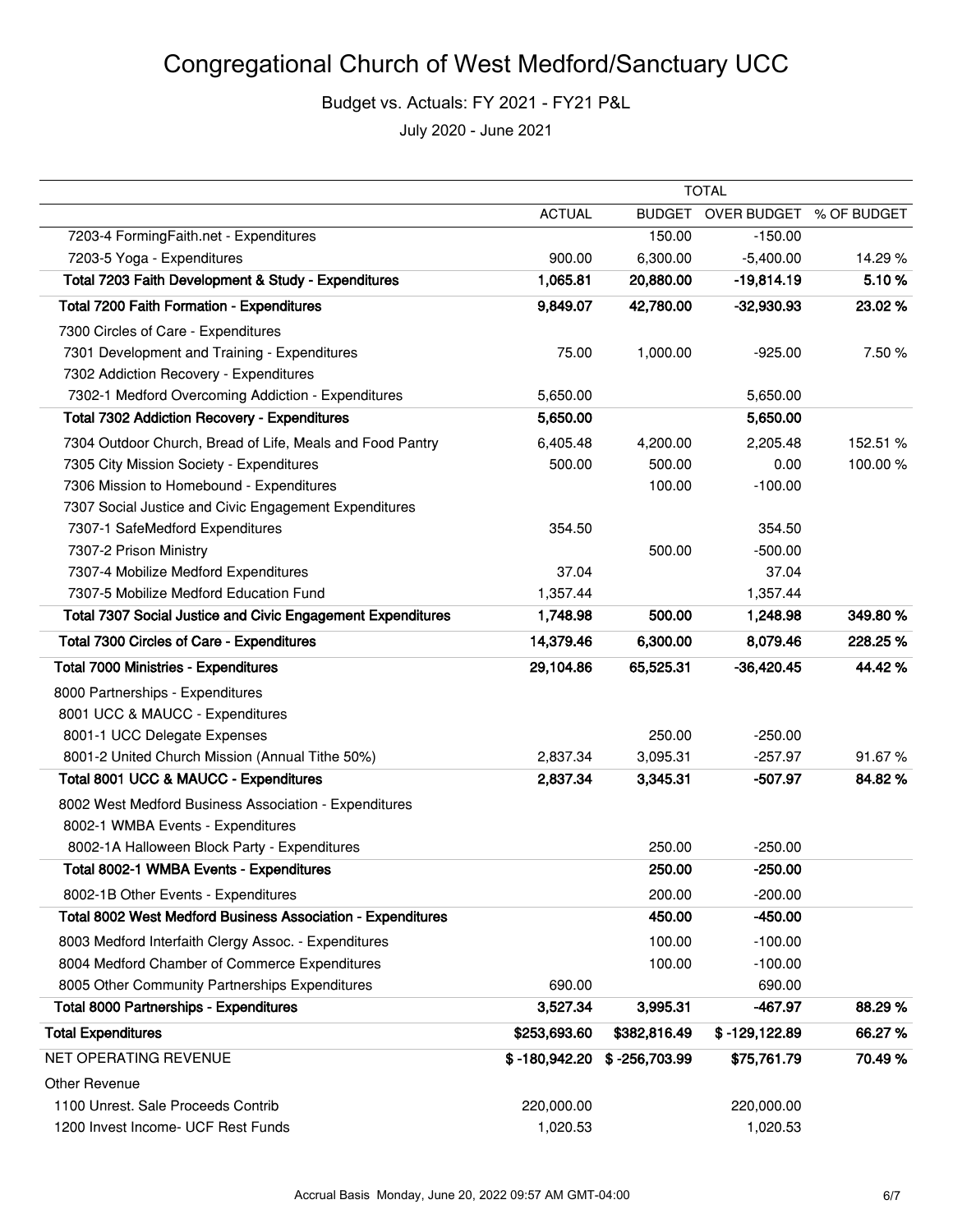## Congregational Church of West Medford/Sanctuary UCC

Budget vs. Actuals: FY 2021 - FY21 P&L

|                                                                    | <b>TOTAL</b>    |                 |                  |             |
|--------------------------------------------------------------------|-----------------|-----------------|------------------|-------------|
|                                                                    | <b>ACTUAL</b>   | <b>BUDGET</b>   | OVER BUDGET      | % OF BUDGET |
| 7203-4 FormingFaith.net - Expenditures                             |                 | 150.00          | $-150.00$        |             |
| 7203-5 Yoga - Expenditures                                         | 900.00          | 6,300.00        | $-5,400.00$      | 14.29%      |
| Total 7203 Faith Development & Study - Expenditures                | 1,065.81        | 20,880.00       | $-19,814.19$     | 5.10%       |
| Total 7200 Faith Formation - Expenditures                          | 9,849.07        | 42,780.00       | $-32,930.93$     | 23.02 %     |
| 7300 Circles of Care - Expenditures                                |                 |                 |                  |             |
| 7301 Development and Training - Expenditures                       | 75.00           | 1,000.00        | $-925.00$        | 7.50 %      |
| 7302 Addiction Recovery - Expenditures                             |                 |                 |                  |             |
| 7302-1 Medford Overcoming Addiction - Expenditures                 | 5,650.00        |                 | 5,650.00         |             |
| <b>Total 7302 Addiction Recovery - Expenditures</b>                | 5,650.00        |                 | 5,650.00         |             |
| 7304 Outdoor Church, Bread of Life, Meals and Food Pantry          | 6,405.48        | 4,200.00        | 2,205.48         | 152.51 %    |
| 7305 City Mission Society - Expenditures                           | 500.00          | 500.00          | 0.00             | 100.00%     |
| 7306 Mission to Homebound - Expenditures                           |                 | 100.00          | $-100.00$        |             |
| 7307 Social Justice and Civic Engagement Expenditures              |                 |                 |                  |             |
| 7307-1 SafeMedford Expenditures                                    | 354.50          |                 | 354.50           |             |
| 7307-2 Prison Ministry                                             |                 | 500.00          | $-500.00$        |             |
| 7307-4 Mobilize Medford Expenditures                               | 37.04           |                 | 37.04            |             |
| 7307-5 Mobilize Medford Education Fund                             | 1,357.44        |                 | 1,357.44         |             |
| <b>Total 7307 Social Justice and Civic Engagement Expenditures</b> | 1,748.98        | 500.00          | 1,248.98         | 349.80%     |
| Total 7300 Circles of Care - Expenditures                          | 14,379.46       | 6,300.00        | 8,079.46         | 228.25 %    |
| <b>Total 7000 Ministries - Expenditures</b>                        | 29,104.86       | 65,525.31       | $-36,420.45$     | 44.42%      |
| 8000 Partnerships - Expenditures                                   |                 |                 |                  |             |
| 8001 UCC & MAUCC - Expenditures                                    |                 |                 |                  |             |
| 8001-1 UCC Delegate Expenses                                       |                 | 250.00          | $-250.00$        |             |
| 8001-2 United Church Mission (Annual Tithe 50%)                    | 2,837.34        | 3,095.31        | $-257.97$        | 91.67%      |
| Total 8001 UCC & MAUCC - Expenditures                              | 2,837.34        | 3,345.31        | $-507.97$        | 84.82%      |
| 8002 West Medford Business Association - Expenditures              |                 |                 |                  |             |
| 8002-1 WMBA Events - Expenditures                                  |                 |                 |                  |             |
| 8002-1A Halloween Block Party - Expenditures                       |                 | 250.00          | $-250.00$        |             |
| Total 8002-1 WMBA Events - Expenditures                            |                 | 250.00          | $-250.00$        |             |
| 8002-1B Other Events - Expenditures                                |                 | 200.00          | $-200.00$        |             |
| Total 8002 West Medford Business Association - Expenditures        |                 | 450.00          | $-450.00$        |             |
| 8003 Medford Interfaith Clergy Assoc. - Expenditures               |                 | 100.00          | $-100.00$        |             |
| 8004 Medford Chamber of Commerce Expenditures                      |                 | 100.00          | $-100.00$        |             |
| 8005 Other Community Partnerships Expenditures                     | 690.00          |                 | 690.00           |             |
| <b>Total 8000 Partnerships - Expenditures</b>                      | 3,527.34        | 3,995.31        | -467.97          | 88.29%      |
| <b>Total Expenditures</b>                                          | \$253,693.60    | \$382,816.49    | $$ -129, 122.89$ | 66.27%      |
| NET OPERATING REVENUE                                              | $$ -180,942.20$ | $$ -256,703.99$ | \$75,761.79      | 70.49%      |
| Other Revenue                                                      |                 |                 |                  |             |
| 1100 Unrest. Sale Proceeds Contrib                                 | 220,000.00      |                 | 220,000.00       |             |
| 1200 Invest Income- UCF Rest Funds                                 | 1,020.53        |                 | 1,020.53         |             |